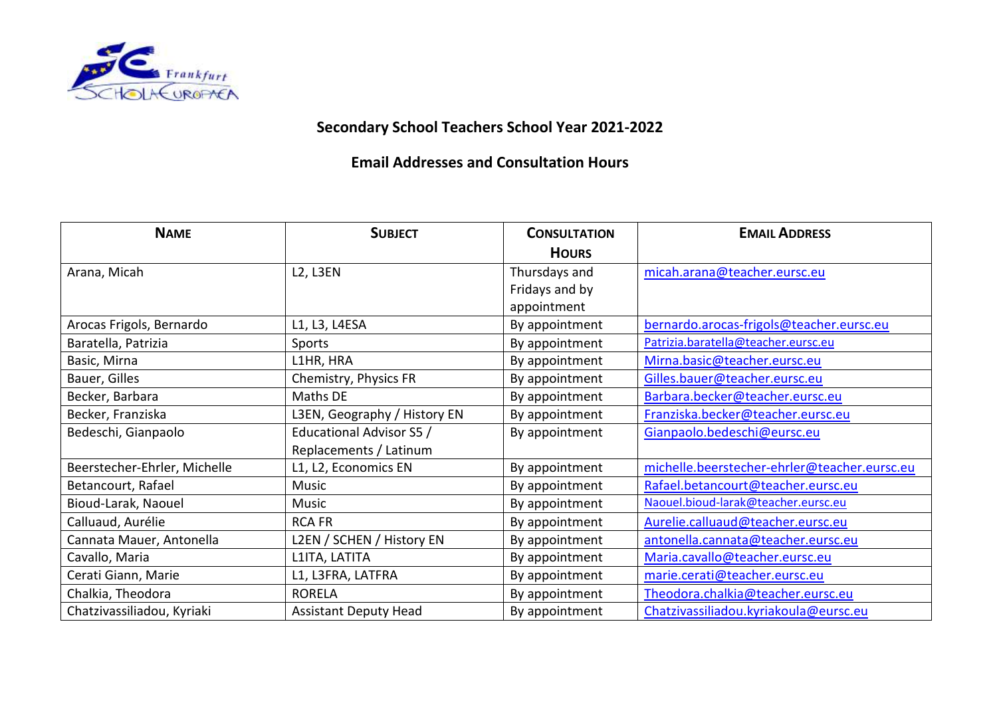

## **Secondary School Teachers School Year 2021-2022**

## **Email Addresses and Consultation Hours**

| <b>NAME</b>                  | <b>SUBJECT</b>                    | <b>CONSULTATION</b> | <b>EMAIL ADDRESS</b>                         |
|------------------------------|-----------------------------------|---------------------|----------------------------------------------|
|                              |                                   | <b>HOURS</b>        |                                              |
| Arana, Micah                 | L <sub>2</sub> , L <sub>3EN</sub> | Thursdays and       | micah.arana@teacher.eursc.eu                 |
|                              |                                   | Fridays and by      |                                              |
|                              |                                   | appointment         |                                              |
| Arocas Frigols, Bernardo     | L1, L3, L4ESA                     | By appointment      | bernardo.arocas-frigols@teacher.eursc.eu     |
| Baratella, Patrizia          | Sports                            | By appointment      | Patrizia.baratella@teacher.eursc.eu          |
| Basic, Mirna                 | L1HR, HRA                         | By appointment      | Mirna.basic@teacher.eursc.eu                 |
| Bauer, Gilles                | Chemistry, Physics FR             | By appointment      | Gilles.bauer@teacher.eursc.eu                |
| Becker, Barbara              | Maths DE                          | By appointment      | Barbara.becker@teacher.eursc.eu              |
| Becker, Franziska            | L3EN, Geography / History EN      | By appointment      | Franziska.becker@teacher.eursc.eu            |
| Bedeschi, Gianpaolo          | Educational Advisor S5 /          | By appointment      | Gianpaolo.bedeschi@eursc.eu                  |
|                              | Replacements / Latinum            |                     |                                              |
| Beerstecher-Ehrler, Michelle | L1, L2, Economics EN              | By appointment      | michelle.beerstecher-ehrler@teacher.eursc.eu |
| Betancourt, Rafael           | Music                             | By appointment      | Rafael.betancourt@teacher.eursc.eu           |
| Bioud-Larak, Naouel          | Music                             | By appointment      | Naouel.bioud-larak@teacher.eursc.eu          |
| Calluaud, Aurélie            | <b>RCA FR</b>                     | By appointment      | Aurelie.calluaud@teacher.eursc.eu            |
| Cannata Mauer, Antonella     | L2EN / SCHEN / History EN         | By appointment      | antonella.cannata@teacher.eursc.eu           |
| Cavallo, Maria               | L1ITA, LATITA                     | By appointment      | Maria.cavallo@teacher.eursc.eu               |
| Cerati Giann, Marie          | L1, L3FRA, LATFRA                 | By appointment      | marie.cerati@teacher.eursc.eu                |
| Chalkia, Theodora            | <b>RORELA</b>                     | By appointment      | Theodora.chalkia@teacher.eursc.eu            |
| Chatzivassiliadou, Kyriaki   | <b>Assistant Deputy Head</b>      | By appointment      | Chatzivassiliadou.kyriakoula@eursc.eu        |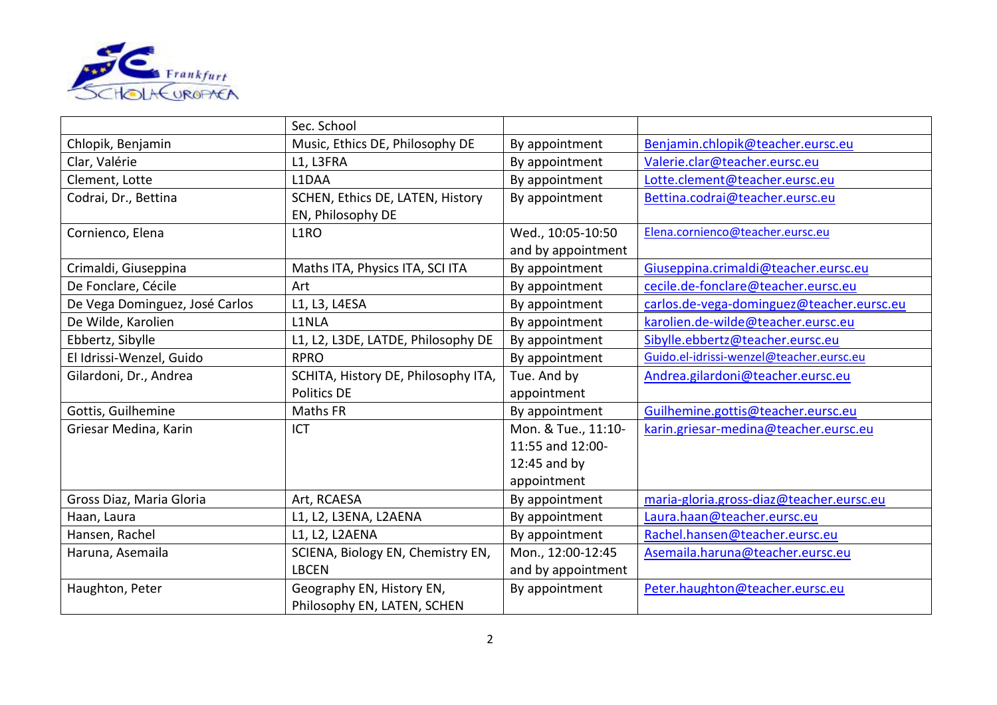

|                                | Sec. School                         |                     |                                           |
|--------------------------------|-------------------------------------|---------------------|-------------------------------------------|
| Chlopik, Benjamin              | Music, Ethics DE, Philosophy DE     | By appointment      | Benjamin.chlopik@teacher.eursc.eu         |
| Clar, Valérie                  | L1, L3FRA                           | By appointment      | Valerie.clar@teacher.eursc.eu             |
| Clement, Lotte                 | L1DAA                               | By appointment      | Lotte.clement@teacher.eursc.eu            |
| Codrai, Dr., Bettina           | SCHEN, Ethics DE, LATEN, History    | By appointment      | Bettina.codrai@teacher.eursc.eu           |
|                                | EN, Philosophy DE                   |                     |                                           |
| Cornienco, Elena               | L1RO                                | Wed., 10:05-10:50   | Elena.cornienco@teacher.eursc.eu          |
|                                |                                     | and by appointment  |                                           |
| Crimaldi, Giuseppina           | Maths ITA, Physics ITA, SCI ITA     | By appointment      | Giuseppina.crimaldi@teacher.eursc.eu      |
| De Fonclare, Cécile            | Art                                 | By appointment      | cecile.de-fonclare@teacher.eursc.eu       |
| De Vega Dominguez, José Carlos | L1, L3, L4ESA                       | By appointment      | carlos.de-vega-dominguez@teacher.eursc.eu |
| De Wilde, Karolien             | L1NLA                               | By appointment      | karolien.de-wilde@teacher.eursc.eu        |
| Ebbertz, Sibylle               | L1, L2, L3DE, LATDE, Philosophy DE  | By appointment      | Sibylle.ebbertz@teacher.eursc.eu          |
| El Idrissi-Wenzel, Guido       | <b>RPRO</b>                         | By appointment      | Guido.el-idrissi-wenzel@teacher.eursc.eu  |
| Gilardoni, Dr., Andrea         | SCHITA, History DE, Philosophy ITA, | Tue. And by         | Andrea.gilardoni@teacher.eursc.eu         |
|                                | Politics DE                         | appointment         |                                           |
| Gottis, Guilhemine             | Maths FR                            | By appointment      | Guilhemine.gottis@teacher.eursc.eu        |
| Griesar Medina, Karin          | ICT                                 | Mon. & Tue., 11:10- | karin.griesar-medina@teacher.eursc.eu     |
|                                |                                     | 11:55 and 12:00-    |                                           |
|                                |                                     | 12:45 and by        |                                           |
|                                |                                     | appointment         |                                           |
| Gross Diaz, Maria Gloria       | Art, RCAESA                         | By appointment      | maria-gloria.gross-diaz@teacher.eursc.eu  |
| Haan, Laura                    | L1, L2, L3ENA, L2AENA               | By appointment      | Laura.haan@teacher.eursc.eu               |
| Hansen, Rachel                 | L1, L2, L2AENA                      | By appointment      | Rachel.hansen@teacher.eursc.eu            |
| Haruna, Asemaila               | SCIENA, Biology EN, Chemistry EN,   | Mon., 12:00-12:45   | Asemaila.haruna@teacher.eursc.eu          |
|                                | <b>LBCEN</b>                        | and by appointment  |                                           |
| Haughton, Peter                | Geography EN, History EN,           | By appointment      | Peter.haughton@teacher.eursc.eu           |
|                                | Philosophy EN, LATEN, SCHEN         |                     |                                           |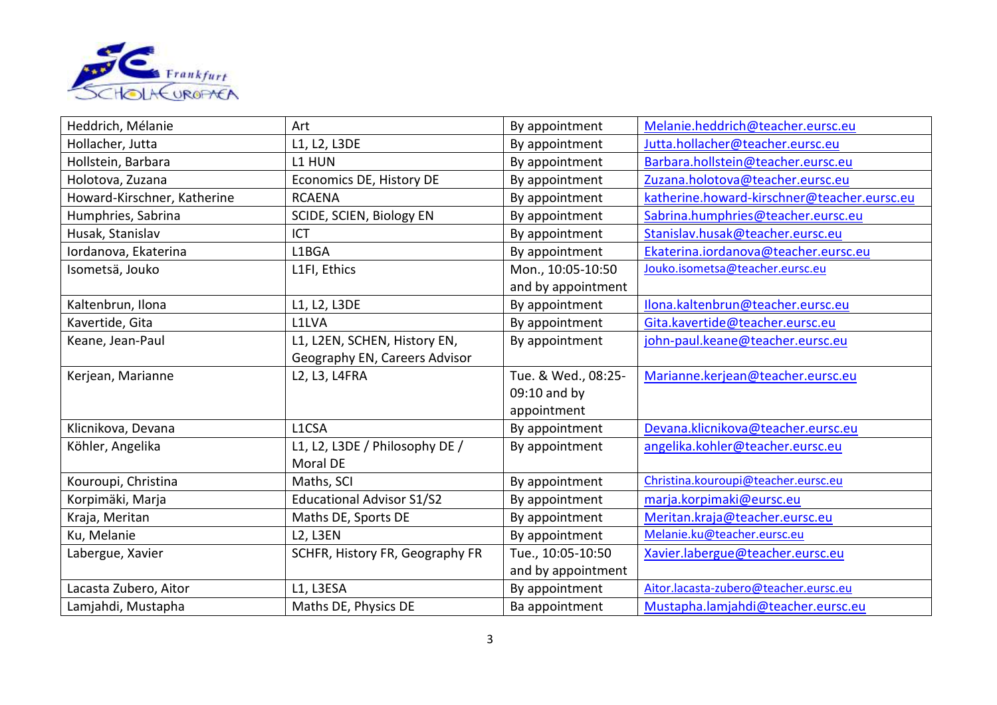

| Heddrich, Mélanie           | Art                              | By appointment      | Melanie.heddrich@teacher.eursc.eu           |
|-----------------------------|----------------------------------|---------------------|---------------------------------------------|
| Hollacher, Jutta            | L1, L2, L3DE                     | By appointment      | Jutta.hollacher@teacher.eursc.eu            |
| Hollstein, Barbara          | L1 HUN                           | By appointment      | Barbara.hollstein@teacher.eursc.eu          |
| Holotova, Zuzana            | Economics DE, History DE         | By appointment      | Zuzana.holotova@teacher.eursc.eu            |
| Howard-Kirschner, Katherine | <b>RCAENA</b>                    | By appointment      | katherine.howard-kirschner@teacher.eursc.eu |
| Humphries, Sabrina          | SCIDE, SCIEN, Biology EN         | By appointment      | Sabrina.humphries@teacher.eursc.eu          |
| Husak, Stanislav            | ICT                              | By appointment      | Stanislav.husak@teacher.eursc.eu            |
| Iordanova, Ekaterina        | L1BGA                            | By appointment      | Ekaterina.iordanova@teacher.eursc.eu        |
| Isometsä, Jouko             | L1FI, Ethics                     | Mon., 10:05-10:50   | Jouko.isometsa@teacher.eursc.eu             |
|                             |                                  | and by appointment  |                                             |
| Kaltenbrun, Ilona           | L1, L2, L3DE                     | By appointment      | Ilona.kaltenbrun@teacher.eursc.eu           |
| Kavertide, Gita             | L1LVA                            | By appointment      | Gita.kavertide@teacher.eursc.eu             |
| Keane, Jean-Paul            | L1, L2EN, SCHEN, History EN,     | By appointment      | john-paul.keane@teacher.eursc.eu            |
|                             | Geography EN, Careers Advisor    |                     |                                             |
| Kerjean, Marianne           | L2, L3, L4FRA                    | Tue. & Wed., 08:25- | Marianne.kerjean@teacher.eursc.eu           |
|                             |                                  | 09:10 and by        |                                             |
|                             |                                  | appointment         |                                             |
| Klicnikova, Devana          | L1CSA                            | By appointment      | Devana.klicnikova@teacher.eursc.eu          |
| Köhler, Angelika            | L1, L2, L3DE / Philosophy DE /   | By appointment      | angelika.kohler@teacher.eursc.eu            |
|                             | Moral DE                         |                     |                                             |
| Kouroupi, Christina         | Maths, SCI                       | By appointment      | Christina.kouroupi@teacher.eursc.eu         |
| Korpimäki, Marja            | <b>Educational Advisor S1/S2</b> | By appointment      | marja.korpimaki@eursc.eu                    |
| Kraja, Meritan              | Maths DE, Sports DE              | By appointment      | Meritan.kraja@teacher.eursc.eu              |
| Ku, Melanie                 | <b>L2, L3EN</b>                  | By appointment      | Melanie.ku@teacher.eursc.eu                 |
| Labergue, Xavier            | SCHFR, History FR, Geography FR  | Tue., 10:05-10:50   | Xavier.labergue@teacher.eursc.eu            |
|                             |                                  | and by appointment  |                                             |
|                             |                                  |                     |                                             |
| Lacasta Zubero, Aitor       | L1, L3ESA                        | By appointment      | Aitor.lacasta-zubero@teacher.eursc.eu       |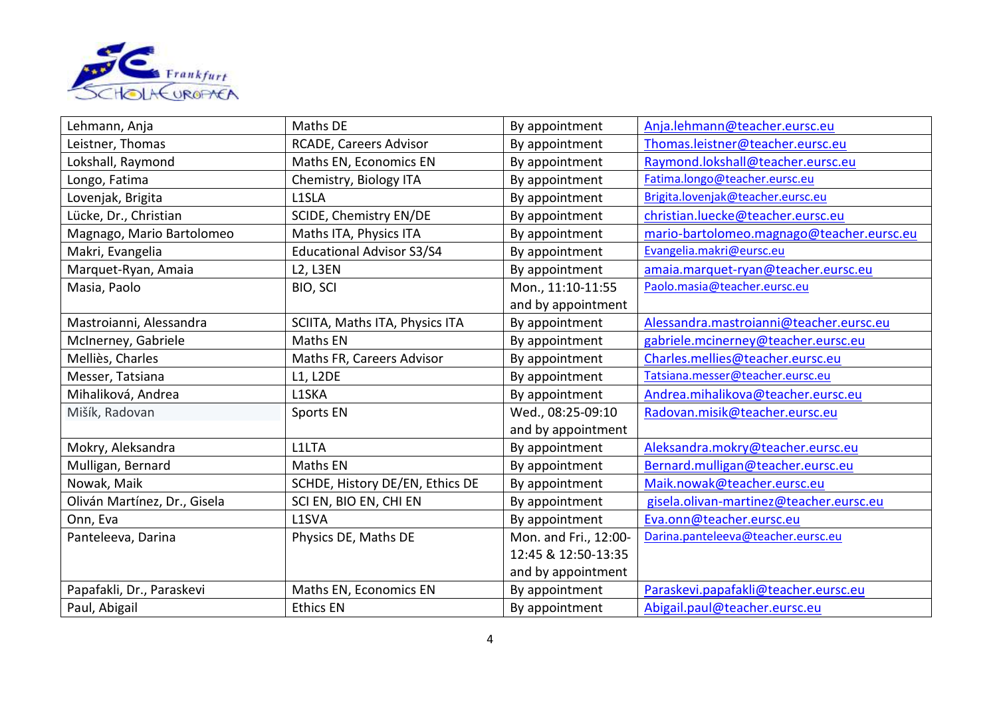

| Lehmann, Anja                | Maths DE                         | By appointment        | Anja.lehmann@teacher.eursc.eu             |
|------------------------------|----------------------------------|-----------------------|-------------------------------------------|
| Leistner, Thomas             | RCADE, Careers Advisor           | By appointment        | Thomas.leistner@teacher.eursc.eu          |
| Lokshall, Raymond            | Maths EN, Economics EN           | By appointment        | Raymond.lokshall@teacher.eursc.eu         |
| Longo, Fatima                | Chemistry, Biology ITA           | By appointment        | Fatima.longo@teacher.eursc.eu             |
| Lovenjak, Brigita            | L1SLA                            | By appointment        | Brigita.lovenjak@teacher.eursc.eu         |
| Lücke, Dr., Christian        | SCIDE, Chemistry EN/DE           | By appointment        | christian.luecke@teacher.eursc.eu         |
| Magnago, Mario Bartolomeo    | Maths ITA, Physics ITA           | By appointment        | mario-bartolomeo.magnago@teacher.eursc.eu |
| Makri, Evangelia             | <b>Educational Advisor S3/S4</b> | By appointment        | Evangelia.makri@eursc.eu                  |
| Marquet-Ryan, Amaia          | <b>L2, L3EN</b>                  | By appointment        | amaia.marquet-ryan@teacher.eursc.eu       |
| Masia, Paolo                 | BIO, SCI                         | Mon., 11:10-11:55     | Paolo.masia@teacher.eursc.eu              |
|                              |                                  | and by appointment    |                                           |
| Mastroianni, Alessandra      | SCIITA, Maths ITA, Physics ITA   | By appointment        | Alessandra.mastroianni@teacher.eursc.eu   |
| McInerney, Gabriele          | Maths EN                         | By appointment        | gabriele.mcinerney@teacher.eursc.eu       |
| Melliès, Charles             | Maths FR, Careers Advisor        | By appointment        | Charles.mellies@teacher.eursc.eu          |
| Messer, Tatsiana             | <b>L1, L2DE</b>                  | By appointment        | Tatsiana.messer@teacher.eursc.eu          |
| Mihaliková, Andrea           | L1SKA                            | By appointment        | Andrea.mihalikova@teacher.eursc.eu        |
| Mišík, Radovan               | Sports EN                        | Wed., 08:25-09:10     | Radovan.misik@teacher.eursc.eu            |
|                              |                                  | and by appointment    |                                           |
| Mokry, Aleksandra            | L1LTA                            | By appointment        | Aleksandra.mokry@teacher.eursc.eu         |
| Mulligan, Bernard            | Maths EN                         | By appointment        | Bernard.mulligan@teacher.eursc.eu         |
| Nowak, Maik                  | SCHDE, History DE/EN, Ethics DE  | By appointment        | Maik.nowak@teacher.eursc.eu               |
| Oliván Martínez, Dr., Gisela | SCI EN, BIO EN, CHI EN           | By appointment        | gisela.olivan-martinez@teacher.eursc.eu   |
| Onn, Eva                     | L1SVA                            | By appointment        | Eva.onn@teacher.eursc.eu                  |
| Panteleeva, Darina           | Physics DE, Maths DE             | Mon. and Fri., 12:00- | Darina.panteleeva@teacher.eursc.eu        |
|                              |                                  | 12:45 & 12:50-13:35   |                                           |
|                              |                                  | and by appointment    |                                           |
| Papafakli, Dr., Paraskevi    | Maths EN, Economics EN           | By appointment        | Paraskevi.papafakli@teacher.eursc.eu      |
| Paul, Abigail                | <b>Ethics EN</b>                 | By appointment        | Abigail.paul@teacher.eursc.eu             |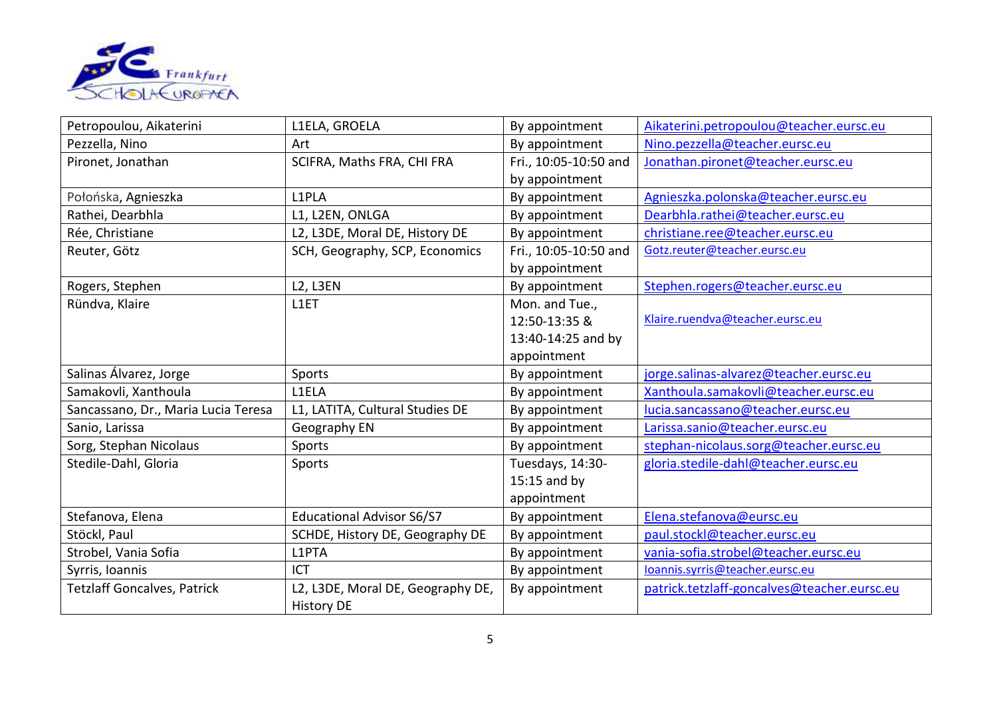

| Petropoulou, Aikaterini             | L1ELA, GROELA                     | By appointment        | Aikaterini.petropoulou@teacher.eursc.eu     |
|-------------------------------------|-----------------------------------|-----------------------|---------------------------------------------|
| Pezzella, Nino                      | Art                               | By appointment        | Nino.pezzella@teacher.eursc.eu              |
| Pironet, Jonathan                   | SCIFRA, Maths FRA, CHI FRA        | Fri., 10:05-10:50 and | Jonathan.pironet@teacher.eursc.eu           |
|                                     |                                   | by appointment        |                                             |
| Połońska, Agnieszka                 | L1PLA                             | By appointment        | Agnieszka.polonska@teacher.eursc.eu         |
| Rathei, Dearbhla                    | L1, L2EN, ONLGA                   | By appointment        | Dearbhla.rathei@teacher.eursc.eu            |
| Rée, Christiane                     | L2, L3DE, Moral DE, History DE    | By appointment        | christiane.ree@teacher.eursc.eu             |
| Reuter, Götz                        | SCH, Geography, SCP, Economics    | Fri., 10:05-10:50 and | Gotz.reuter@teacher.eursc.eu                |
|                                     |                                   | by appointment        |                                             |
| Rogers, Stephen                     | <b>L2, L3EN</b>                   | By appointment        | Stephen.rogers@teacher.eursc.eu             |
| Ründva, Klaire                      | L1ET                              | Mon. and Tue.,        |                                             |
|                                     |                                   | 12:50-13:35 &         | Klaire.ruendva@teacher.eursc.eu             |
|                                     |                                   | 13:40-14:25 and by    |                                             |
|                                     |                                   | appointment           |                                             |
| Salinas Álvarez, Jorge              | Sports                            | By appointment        | jorge.salinas-alvarez@teacher.eursc.eu      |
| Samakovli, Xanthoula                | L1ELA                             | By appointment        | Xanthoula.samakovli@teacher.eursc.eu        |
| Sancassano, Dr., Maria Lucia Teresa | L1, LATITA, Cultural Studies DE   | By appointment        | lucia.sancassano@teacher.eursc.eu           |
| Sanio, Larissa                      | Geography EN                      | By appointment        | Larissa.sanio@teacher.eursc.eu              |
| Sorg, Stephan Nicolaus              | Sports                            | By appointment        | stephan-nicolaus.sorg@teacher.eursc.eu      |
| Stedile-Dahl, Gloria                | Sports                            | Tuesdays, 14:30-      | gloria.stedile-dahl@teacher.eursc.eu        |
|                                     |                                   | $15:15$ and by        |                                             |
|                                     |                                   | appointment           |                                             |
| Stefanova, Elena                    | <b>Educational Advisor S6/S7</b>  | By appointment        | Elena.stefanova@eursc.eu                    |
| Stöckl, Paul                        | SCHDE, History DE, Geography DE   | By appointment        | paul.stockl@teacher.eursc.eu                |
| Strobel, Vania Sofia                | L1PTA                             | By appointment        | vania-sofia.strobel@teacher.eursc.eu        |
| Syrris, Ioannis                     | <b>ICT</b>                        | By appointment        | loannis.syrris@teacher.eursc.eu             |
| <b>Tetzlaff Goncalves, Patrick</b>  | L2, L3DE, Moral DE, Geography DE, | By appointment        | patrick.tetzlaff-goncalves@teacher.eursc.eu |
|                                     | <b>History DE</b>                 |                       |                                             |